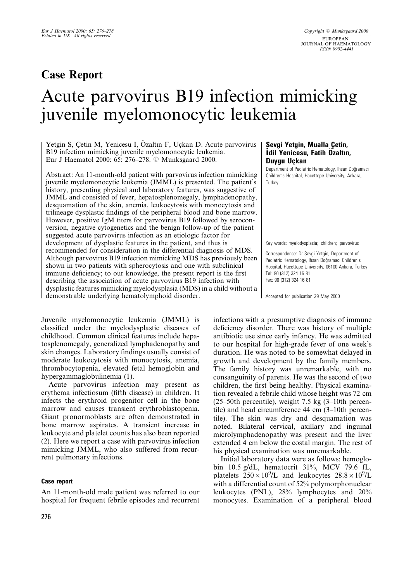## **Case Report**

# Acute parvovirus B19 infection mimicking juvenile myelomonocytic leukemia

Yetgin S, Çetin M, Yenicesu I, Özaltın F, Uçkan D. Acute parvovirus B19 infection mimicking juvenile myelomonocytic leukemia. Eur J Haematol 2000: 65: 276-278. © Munksgaard 2000.

Abstract: An 11-month-old patient with parvovirus infection mimicking juvenile myelomonocytic leukemia (JMML) is presented. The patient's history, presenting physical and laboratory features, was suggestive of JMML and consisted of fever, hepatosplenomegaly, lymphadenopathy, desquamation of the skin, anemia, leukocytosis with monocytosis and trilineage dysplastic findings of the peripheral blood and bone marrow. However, positive IgM titers for parvovirus B19 followed by seroconversion, negative cytogenetics and the benign follow-up of the patient suggested acute parvovirus infection as an etiologic factor for development of dysplastic features in the patient, and thus is recommended for consideration in the differential diagnosis of MDS. Although parvovirus B19 infection mimicking MDS has previously been shown in two patients with spherocytosis and one with subclinical immune deficiency; to our knowledge, the present report is the first describing the association of acute parvovirus B19 infection with dysplastic features mimicking myelodysplasia (MDS) in a child without a demonstrable underlying hematolymphoid disorder.

Juvenile myelomonocytic leukemia (JMML) is classified under the myelodysplastic diseases of childhood. Common clinical features include hepatosplenomegaly, generalized lymphadenopathy and skin changes. Laboratory findings usually consist of moderate leukocytosis with monocytosis, anemia, thrombocytopenia, elevated fetal hemoglobin and hypergammaglobulinemia (1).

Acute parvovirus infection may present as erythema infectiosum (fifth disease) in children. It infects the erythroid progenitor cell in the bone marrow and causes transient erythroblastopenia. Giant pronormoblasts are often demonstrated in bone marrow aspirates. A transient increase in leukocyte and platelet counts has also been reported (2). Here we report a case with parvovirus infection mimicking JMML, who also suffered from recurrent pulmonary infections.

#### **Case report**

An 11-month-old male patient was referred to our hospital for frequent febrile episodes and recurrent

#### Sevgi Yetgin, Mualla Çetin, **Idil Yenicesu, Fatih Ozaltın, Duvau Uckan**

Department of Pediatric Hematology, Ihsan Doĝramacı Children's Hospital, Hacettepe University, Ankara, Turkey

Key words: myelodysplasia; children; parvovirus

Correspondence: Dr Sevgi Yetgin, Department of Pediatric Hematology, Ihsan Doğramacı Children's Hospital, Hacettepe University, 06100-Ankara, Turkev Tel: 90 (312) 324 16 81 Fax: 90 (312) 324 16 81

Accepted for publication 29 May 2000

infections with a presumptive diagnosis of immune deficiency disorder. There was history of multiple antibiotic use since early infancy. He was admitted to our hospital for high-grade fever of one week's duration. He was noted to be somewhat delayed in growth and development by the family members. The family history was unremarkable, with no consanguinity of parents. He was the second of two children, the first being healthy. Physical examination revealed a febrile child whose height was 72 cm  $(25-50$ th percentile), weight 7.5 kg  $(3-10$ th percentile) and head circumference  $44 \text{ cm } (3-10)$ th percentile). The skin was dry and desquamation was noted. Bilateral cervical, axillary and inguinal microlymphadenopathy was present and the liver extended 4 cm below the costal margin. The rest of his physical examination was unremarkable.

Initial laboratory data were as follows: hemoglobin 10.5 g/dL, hematocrit 31%, MCV 79.6 fL, platelets  $250 \times 10^9$ /L and leukocytes  $28.8 \times 10^9$ /L with a differential count of 52% polymorphonuclear leukocytes (PNL), 28% lymphocytes and 20% monocytes. Examination of a peripheral blood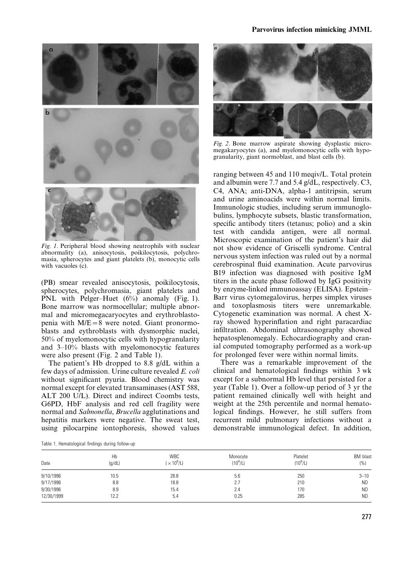

Fig. 1. Peripheral blood showing neutrophils with nuclear abnormality (a), anisocytosis, poikilocytosis, polychromasia, spherocytes and giant platelets (b), monocytic cells with vacuoles (c).

(PB) smear revealed anisocytosis, poikilocytosis, spherocytes, polychromasia, giant platelets and PNL with Pelger-Huet  $(6\%)$  anomaly (Fig. 1). Bone marrow was normocellular; multiple abnormal and micromegacaryocytes and erythroblastopenia with M/E=8 were noted. Giant pronormoblasts and eythroblasts with dysmorphic nuclei, 50% of myelomonocytic cells with hypogranularity and  $3-10%$  blasts with myelomonocytic features were also present (Fig. 2 and Table 1).

The patient's Hb dropped to 8.8 g/dL within a few days of admission. Urine culture revealed E. coli without significant pyuria. Blood chemistry was normal except for elevated transaminases (AST 588, ALT 200 U/L). Direct and indirect Coombs tests, G6PD, HbF analysis and red cell fragility were normal and Salmonella, Brucella agglutinations and hepatitis markers were negative. The sweat test, using pilocarpine iontophoresis, showed values



Fig. 2. Bone marrow aspirate showing dysplastic micromegakaryocytes (a), and myelomonocytic cells with hypogranularity, giant normoblast, and blast cells (b).

ranging between 45 and 110 meqiv/L. Total protein and albumin were 7.7 and 5.4 g/dL, respectively. C3, C4, ANA; anti-DNA, alpha-1 antitripsin, serum and urine aminoacids were within normal limits. Immunologic studies, including serum immunoglobulins, lymphocyte subsets, blastic transformation, specific antibody titers (tetanus; polio) and a skin test with candida antigen, were all normal. Microscopic examination of the patient's hair did not show evidence of Griscelli syndrome. Central nervous system infection was ruled out by a normal cerebrospinal fluid examination. Acute parvovirus B19 infection was diagnosed with positive IgM titers in the acute phase followed by IgG positivity by enzyme-linked immunoassay (ELISA). Epstein-Barr virus cytomegalovirus, herpes simplex viruses and toxoplasmosis titers were unremarkable. Cytogenetic examination was normal. A chest Xray showed hyperinflation and right paracardiac infiltration. Abdominal ultrasonography showed hepatosplenomegaly. Echocardiography and cranial computed tomography performed as a work-up for prolonged fever were within normal limits.

There was a remarkable improvement of the clinical and hematological findings within 3 wk except for a subnormal Hb level that persisted for a year (Table 1). Over a follow-up period of 3 yr the patient remained clinically well with height and weight at the 25th percentile and normal hematological findings. However, he still suffers from recurrent mild pulmonary infections without a demonstrable immunological defect. In addition,

|  |  |  | Table 1. Hematological findings during follow-up |
|--|--|--|--------------------------------------------------|
|  |  |  |                                                  |

| Date       | Hb<br>(q/dL) | <b>WBC</b><br>$\times$ 10 <sup>9</sup> /L) | Monocyte<br>$(10^9/L)$ | Platelet<br>$(10^9/L)$ | <b>BM</b> blast<br>(%) |  |  |  |  |
|------------|--------------|--------------------------------------------|------------------------|------------------------|------------------------|--|--|--|--|
| 9/10/1996  | 10.5         | 28.8                                       | 5.6                    | 250                    | $3 - 10$               |  |  |  |  |
| 9/17/1996  | 8.8          | 18.8                                       | 2.7                    | 210                    | <b>ND</b>              |  |  |  |  |
| 9/30/1996  | 8.9          | 15.4                                       | 2.4                    | 170                    | <b>ND</b>              |  |  |  |  |
| 12/30/1999 | 12.2         | 5.4                                        | 0.25                   | 285                    | <b>ND</b>              |  |  |  |  |